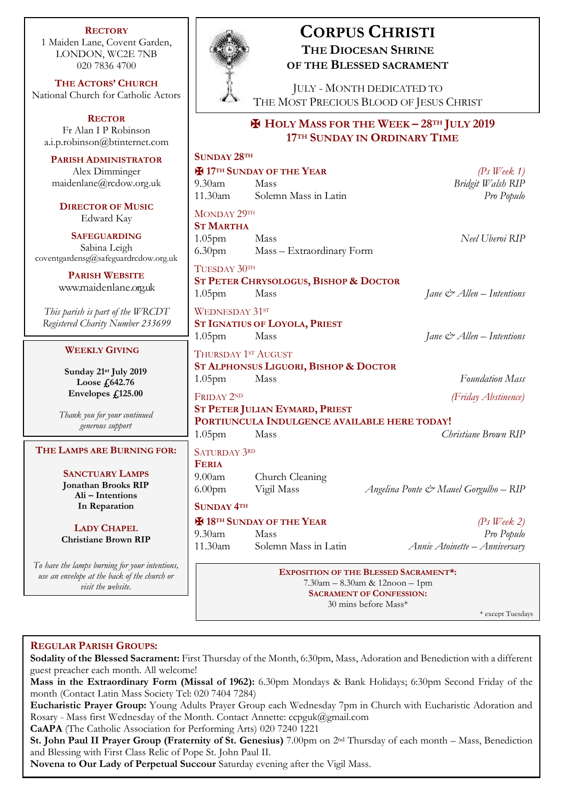**RECTORY** 1 Maiden Lane, Covent Garden, LONDON, WC2E 7NB 020 7836 4700

**THE ACTORS' CHURCH** National Church for Catholic Actors

**RECTOR** Fr Alan I P Robinson [a.i.p.robinson@btinternet.com](mailto:a.i.p.robinson@btinternet.com)

**PARISH ADMINISTRATOR** Alex Dimminger maidenlane@rcdow.org.uk

**DIRECTOR OF MUSIC** Edward Kay

**SAFEGUARDING** Sabina Leigh [coventgardensg@safeguardrcdow.org.uk](mailto:coventgardensg@safeguardrcdow.org.uk)

> **PARISH WEBSITE** [www.maidenlane.org.uk](http://www.maidenlane.org.uk/)

*This parish is part of the WRCDT Registered Charity Number 233699*

# **WEEKLY GIVING**

**Sunday 21st July 2019 Loose £642.76 Envelopes £125.00**

*Thank you for your continued generous support*

# **THE LAMPS ARE BURNING FOR:**

**SANCTUARY LAMPS Jonathan Brooks RIP Ali – Intentions In Reparation**

**LADY CHAPEL Christiane Brown RIP**

*To have the lamps burning for your intentions, use an envelope at the back of the church or visit the website.*



# **CORPUS CHRISTI THE DIOCESAN SHRINE OF THE BLESSED SACRAMENT**

JULY - MONTH DEDICATED TO THE MOST PRECIOUS BLOOD OF JESUS CHRIST

# ✠ **HOLY MASS FOR THE WEEK – 28TH JULY 2019 17TH SUNDAY IN ORDINARY TIME**

|                                                                                |                                                                                       | <b>SUNDAY 28TH</b>    |
|--------------------------------------------------------------------------------|---------------------------------------------------------------------------------------|-----------------------|
| $(Ps$ Week 1)                                                                  | <b>H</b> 17 <sup>TH</sup> SUNDAY OF THE YEAR                                          |                       |
| Bridgit Walsh RIP                                                              | Mass                                                                                  | 9.30 <sub>am</sub>    |
| Pro Populo                                                                     | 11.30am Solemn Mass in Latin                                                          |                       |
|                                                                                |                                                                                       | MONDAY 29TH           |
|                                                                                |                                                                                       | <b>ST MARTHA</b>      |
| Neel Uberoi RIP                                                                | Mass                                                                                  | 1.05 <sub>pm</sub>    |
|                                                                                | Mass – Extraordinary Form                                                             | 6.30 <sub>pm</sub>    |
|                                                                                |                                                                                       | TUESDAY 30TH          |
|                                                                                | <b>ST PETER CHRYSOLOGUS, BISHOP &amp; DOCTOR</b>                                      |                       |
| <i>Jane</i> $\mathcal{Q}$ <i>Allen</i> – Intentions                            | Mass                                                                                  | 1.05 <sub>pm</sub>    |
|                                                                                |                                                                                       | <b>WEDNESDAY 31ST</b> |
|                                                                                | <b>ST IGNATIUS OF LOYOLA, PRIEST</b>                                                  |                       |
| <i>Jane</i> $\mathcal{Q}$ Allen – Intentions                                   | Mass                                                                                  | 1.05 <sub>pm</sub>    |
|                                                                                | THURSDAY 1ST AUGUST                                                                   |                       |
|                                                                                | <b>ST ALPHONSUS LIGUORI, BISHOP &amp; DOCTOR</b>                                      |                       |
| <b>Foundation Mass</b>                                                         | Mass                                                                                  | 1.05 <sub>pm</sub>    |
|                                                                                |                                                                                       |                       |
| (Friday Abstinence)                                                            |                                                                                       | FRIDAY 2ND            |
|                                                                                | <b>ST PETER JULIAN EYMARD, PRIEST</b><br>PORTIUNCULA INDULGENCE AVAILABLE HERE TODAY! |                       |
| Christiane Brown RIP                                                           | Mass                                                                                  | 1.05 <sub>pm</sub>    |
|                                                                                |                                                                                       |                       |
|                                                                                |                                                                                       | SATURDAY 3RD          |
|                                                                                |                                                                                       | <b>FERIA</b>          |
|                                                                                | Church Cleaning                                                                       | $9.00$ am             |
| Angelina Ponte & Mauel Gorgulho - RIP                                          | Vigil Mass                                                                            | 6.00 <sub>pm</sub>    |
|                                                                                |                                                                                       | <b>SUNDAY 4TH</b>     |
| $(Ps$ Week 2)                                                                  | <b>H</b> 18TH SUNDAY OF THE YEAR                                                      |                       |
| Pro Populo                                                                     | Mass                                                                                  | 9.30 <sub>am</sub>    |
| Annie Atoinette – Anniversary                                                  | 11.30am Solemn Mass in Latin                                                          |                       |
|                                                                                |                                                                                       |                       |
| <b>EXPOSITION OF THE BLESSED SACRAMENT*:</b><br>7.30am - 8.30am & 12noon - 1pm |                                                                                       |                       |
| <b>SACRAMENT OF CONFESSION:</b>                                                |                                                                                       |                       |
| 30 mins before Mass*                                                           |                                                                                       |                       |
| * except Tuesdays                                                              |                                                                                       |                       |

# **REGULAR PARISH GROUPS:**

**Sodality of the Blessed Sacrament:** First Thursday of the Month, 6:30pm, Mass, Adoration and Benediction with a different guest preacher each month. All welcome!

**Mass in the Extraordinary Form (Missal of 1962):** 6.30pm Mondays & Bank Holidays; 6:30pm Second Friday of the month (Contact Latin Mass Society Tel: 020 7404 7284)

**Eucharistic Prayer Group:** Young Adults Prayer Group each Wednesday 7pm in Church with Eucharistic Adoration and Rosary - Mass first Wednesday of the Month. Contact Annette: ccpguk@gmail.com

**CaAPA** (The Catholic Association for Performing Arts) 020 7240 1221

**St. John Paul II Prayer Group (Fraternity of St. Genesius)** 7.00pm on 2nd Thursday of each month – Mass, Benediction and Blessing with First Class Relic of Pope St. John Paul II.

**Novena to Our Lady of Perpetual Succour** Saturday evening after the Vigil Mass.